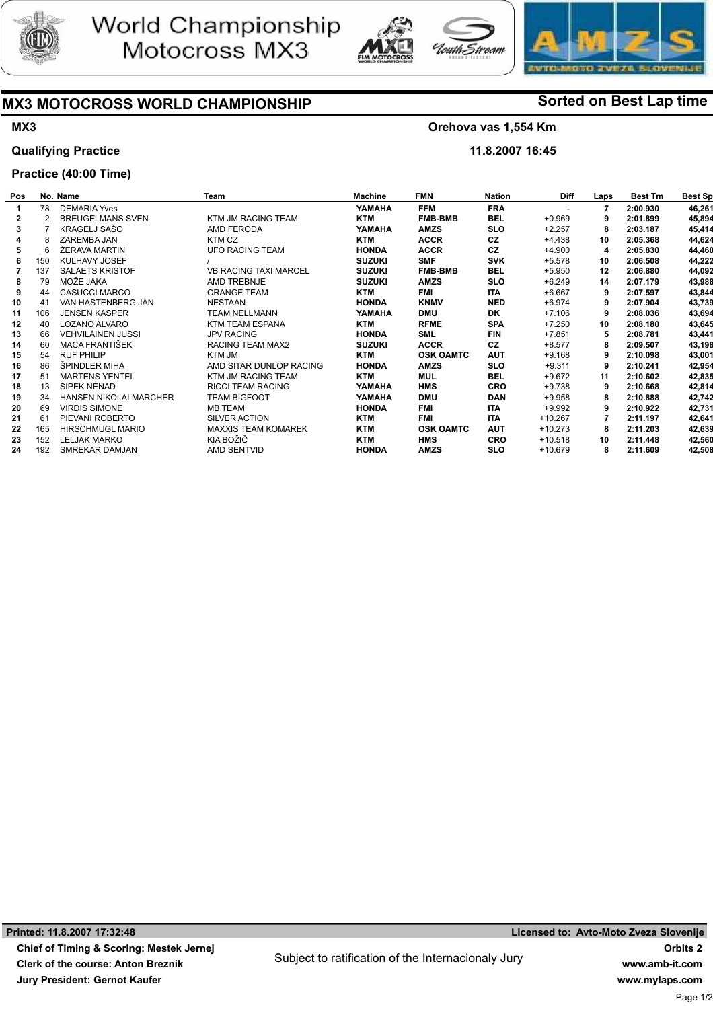





# MX3 MOTOCROSS WORLD CHAMPIONSHIP Sorted on Best Lap time

# MX3

## Qualifying Practice

## Practice (40:00 Time)

# Orehova vas 1,554 Km

Stroam

11.8.2007 16:45

| Pos |               | No. Name                      | Team                         | <b>Machine</b> | <b>FMN</b>       | <b>Nation</b> | <b>Diff</b> | Laps | <b>Best Tm</b> | <b>Best Sp</b> |
|-----|---------------|-------------------------------|------------------------------|----------------|------------------|---------------|-------------|------|----------------|----------------|
|     | 78            | <b>DEMARIA Yves</b>           |                              | YAMAHA         | <b>FFM</b>       | <b>FRA</b>    |             | 7    | 2:00.930       | 46,261         |
| 2   | $\mathcal{P}$ | <b>BREUGELMANS SVEN</b>       | KTM JM RACING TEAM           | <b>KTM</b>     | <b>FMB-BMB</b>   | <b>BEL</b>    | $+0.969$    | 9    | 2:01.899       | 45,894         |
| 3   |               | KRAGELJ SAŠO                  | AMD FERODA                   | YAMAHA         | <b>AMZS</b>      | <b>SLO</b>    | $+2.257$    | 8    | 2:03.187       | 45,414         |
|     | 8             | ZAREMBA JAN                   | KTM CZ                       | <b>KTM</b>     | <b>ACCR</b>      | <b>CZ</b>     | $+4.438$    | 10   | 2:05.368       | 44,624         |
|     | 6             | ŽERAVA MARTIN                 | <b>UFO RACING TEAM</b>       | <b>HONDA</b>   | <b>ACCR</b>      | CZ            | $+4.900$    | 4    | 2:05.830       | 44,460         |
|     | 150           | KULHAVY JOSEF                 |                              | <b>SUZUKI</b>  | <b>SMF</b>       | <b>SVK</b>    | $+5.578$    | 10   | 2:06.508       | 44,222         |
|     | 137           | <b>SALAETS KRISTOF</b>        | <b>VB RACING TAXI MARCEL</b> | <b>SUZUKI</b>  | <b>FMB-BMB</b>   | <b>BEL</b>    | $+5.950$    | 12   | 2:06.880       | 44,092         |
|     | 79            | MOŽE JAKA                     | AMD TREBNJE                  | <b>SUZUKI</b>  | <b>AMZS</b>      | <b>SLO</b>    | $+6.249$    | 14   | 2:07.179       | 43,988         |
|     | 44            | <b>CASUCCI MARCO</b>          | ORANGE TEAM                  | <b>KTM</b>     | <b>FMI</b>       | <b>ITA</b>    | $+6.667$    | 9    | 2:07.597       | 43,844         |
| 10  | 41            | VAN HASTENBERG JAN            | <b>NESTAAN</b>               | <b>HONDA</b>   | <b>KNMV</b>      | <b>NED</b>    | $+6.974$    | 9    | 2:07.904       | 43,739         |
| 11  | 106           | <b>JENSEN KASPER</b>          | <b>TEAM NELLMANN</b>         | YAMAHA         | <b>DMU</b>       | <b>DK</b>     | $+7.106$    | 9    | 2:08.036       | 43,694         |
| 12  | 40            | LOZANO ALVARO                 | <b>KTM TEAM ESPANA</b>       | <b>KTM</b>     | <b>RFME</b>      | <b>SPA</b>    | $+7.250$    | 10   | 2:08.180       | 43,645         |
| 13  | 66            | VEHVILÄINEN JUSSI             | <b>JPV RACING</b>            | <b>HONDA</b>   | <b>SML</b>       | <b>FIN</b>    | $+7.851$    | 5    | 2:08.781       | 43,441         |
| 14  | 60            | MACA FRANTIŠEK                | RACING TEAM MAX2             | <b>SUZUKI</b>  | <b>ACCR</b>      | <b>CZ</b>     | $+8.577$    | 8    | 2:09.507       | 43,198         |
| 15  | 54            | <b>RUF PHILIP</b>             | KTM JM                       | <b>KTM</b>     | <b>OSK OAMTC</b> | <b>AUT</b>    | $+9.168$    | 9    | 2:10.098       | 43,001         |
| 16  | 86            | ŠPINDLER MIHA                 | AMD SITAR DUNLOP RACING      | <b>HONDA</b>   | <b>AMZS</b>      | <b>SLO</b>    | $+9.311$    | 9    | 2:10.241       | 42,954         |
| 17  | 51            | <b>MARTENS YENTEL</b>         | KTM JM RACING TEAM           | <b>KTM</b>     | <b>MUL</b>       | <b>BEL</b>    | $+9.672$    | 11   | 2:10.602       | 42,835         |
| 18  | 13            | SIPEK NENAD                   | <b>RICCI TEAM RACING</b>     | YAMAHA         | <b>HMS</b>       | <b>CRO</b>    | $+9.738$    | 9    | 2:10.668       | 42,814         |
| 19  | 34            | <b>HANSEN NIKOLAI MARCHER</b> | <b>TEAM BIGFOOT</b>          | YAMAHA         | <b>DMU</b>       | <b>DAN</b>    | $+9.958$    | 8    | 2:10.888       | 42,742         |
| 20  | 69            | <b>VIRDIS SIMONE</b>          | <b>MB TEAM</b>               | <b>HONDA</b>   | <b>FMI</b>       | <b>ITA</b>    | $+9.992$    | 9    | 2:10.922       | 42,731         |
| 21  | 61            | PIEVANI ROBERTO               | SILVER ACTION                | <b>KTM</b>     | <b>FMI</b>       | <b>ITA</b>    | $+10.267$   |      | 2:11.197       | 42,641         |
| 22  | 165           | <b>HIRSCHMUGL MARIO</b>       | <b>MAXXIS TEAM KOMAREK</b>   | <b>KTM</b>     | <b>OSK OAMTC</b> | <b>AUT</b>    | $+10.273$   | 8    | 2:11.203       | 42,639         |
| 23  | 152           | <b>LELJAK MARKO</b>           | KIA BOŽIČ                    | <b>KTM</b>     | <b>HMS</b>       | <b>CRO</b>    | $+10.518$   | 10   | 2:11.448       | 42,560         |
| 24  | 192           | SMREKAR DAMJAN                | <b>AMD SENTVID</b>           | <b>HONDA</b>   | <b>AMZS</b>      | <b>SLO</b>    | +10.679     | 8    | 2:11.609       | 42,508         |